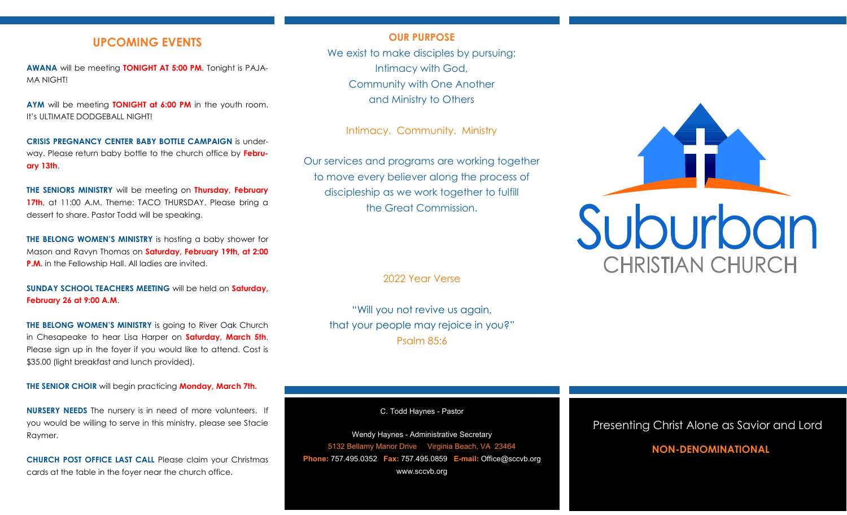## **UPCOMING EVENTS**

**AWANA** will be meeting **TONIGHT AT 5:00 PM.** Tonight is PAJA-MA NIGHT!

**AYM** will be meeting **TONIGHT at 6:00 PM** in the youth room. It's ULTIMATE DODGEBALL NIGHT!

**CRISIS PREGNANCY CENTER BABY BOTTLE CAMPAIGN** is underway. Please return baby bottle to the church office by **February 13th**.

**THE SENIORS MINISTRY** will be meeting on **Thursday, February 17th**, at 11:00 A.M. Theme: TACO THURSDAY. Please bring a dessert to share. Pastor Todd will be speaking.

**THE BELONG WOMEN'S MINISTRY** is hosting a baby shower for Mason and Ravyn Thomas on **Saturday, February 19th, at 2:00 P.M.** in the Fellowship Hall. All ladies are invited.

**SUNDAY SCHOOL TEACHERS MEETING** will be held on **Saturday, February 26 at 9:00 A.M**.

**THE BELONG WOMEN'S MINISTRY** is going to River Oak Church in Chesapeake to hear Lisa Harper on **Saturday, March 5th**. Please sign up in the foyer if you would like to attend. Cost is \$35.00 (light breakfast and lunch provided).

**THE SENIOR CHOIR** will begin practicing **Monday, March 7th.**

**NURSERY NEEDS** The nursery is in need of more volunteers. If you would be willing to serve in this ministry, please see Stacie Raymer.

**CHURCH POST OFFICE LAST CALL** Please claim your Christmas cards at the table in the foyer near the church office**.**

## **OUR PURPOSE**

We exist to make disciples by pursuing: Intimacy with God, Community with One Another and Ministry to Others

Intimacy. Community. Ministry

Our services and programs are working together to move every believer along the process of discipleship as we work together to fulfill the Great Commission.

2022 Year Verse

"Will you not revive us again, that your people may rejoice in you?" Psalm 85:6

C. Todd Haynes - Pastor

Wendy Haynes - Administrative Secretary 5132 Bellamy Manor Drive Virginia Beach, VA 23464 **Phone:** 757.495.0352 **Fax:** 757.495.0859 **E-mail:** Office@sccvb.org www.sccvb.org



## Presenting Christ Alone as Savior and Lord

## **NON-DENOMINATIONAL**